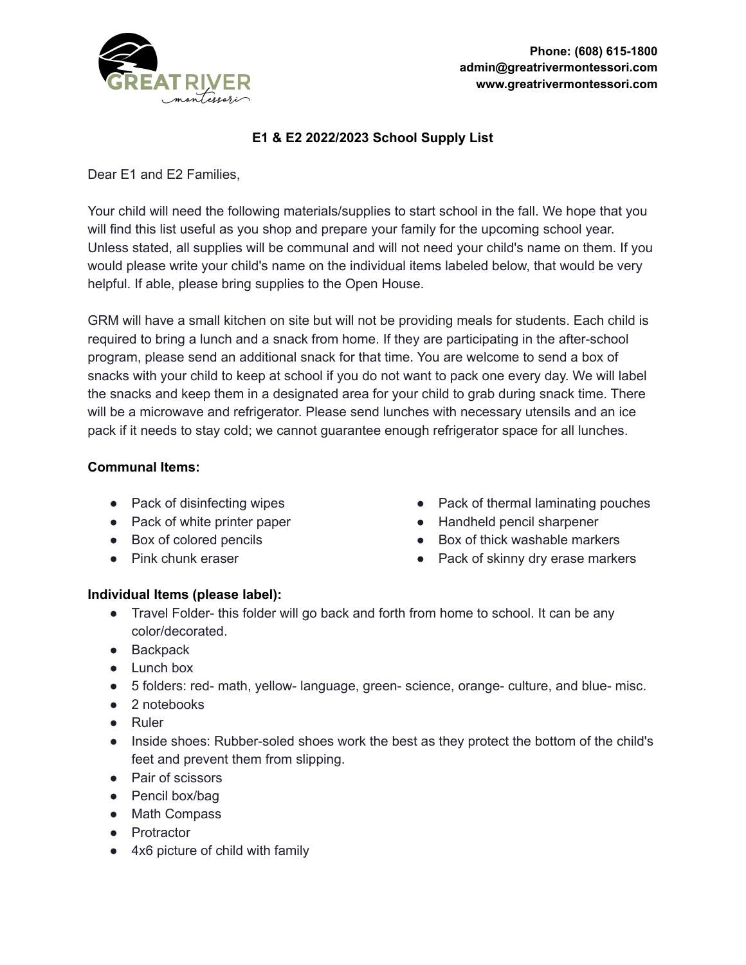

# **E1 & E2 2022/2023 School Supply List**

Dear E1 and E2 Families,

Your child will need the following materials/supplies to start school in the fall. We hope that you will find this list useful as you shop and prepare your family for the upcoming school year. Unless stated, all supplies will be communal and will not need your child's name on them. If you would please write your child's name on the individual items labeled below, that would be very helpful. If able, please bring supplies to the Open House.

GRM will have a small kitchen on site but will not be providing meals for students. Each child is required to bring a lunch and a snack from home. If they are participating in the after-school program, please send an additional snack for that time. You are welcome to send a box of snacks with your child to keep at school if you do not want to pack one every day. We will label the snacks and keep them in a designated area for your child to grab during snack time. There will be a microwave and refrigerator. Please send lunches with necessary utensils and an ice pack if it needs to stay cold; we cannot guarantee enough refrigerator space for all lunches.

#### **Communal Items:**

- Pack of disinfecting wipes
- Pack of white printer paper
- Box of colored pencils
- Pink chunk eraser
- Pack of thermal laminating pouches
- Handheld pencil sharpener
- Box of thick washable markers
- Pack of skinny dry erase markers

#### **Individual Items (please label):**

- Travel Folder- this folder will go back and forth from home to school. It can be any color/decorated.
- Backpack
- Lunch box
- 5 folders: red- math, yellow- language, green- science, orange- culture, and blue- misc.
- 2 notebooks
- Ruler
- Inside shoes: Rubber-soled shoes work the best as they protect the bottom of the child's feet and prevent them from slipping.
- Pair of scissors
- Pencil box/bag
- Math Compass
- Protractor
- 4x6 picture of child with family